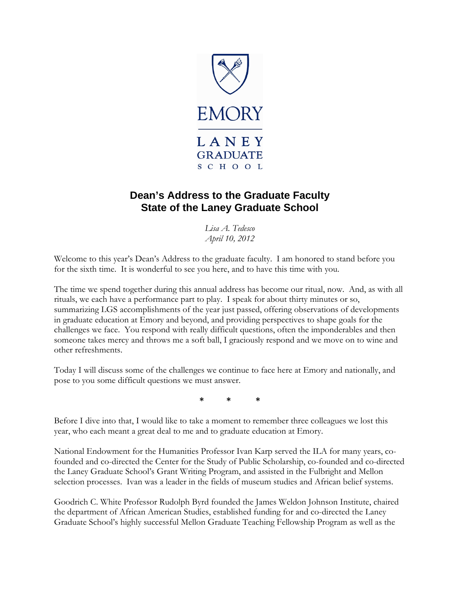

## **Dean's Address to the Graduate Faculty State of the Laney Graduate School**

*Lisa A. Tedesco April 10, 2012* 

Welcome to this year's Dean's Address to the graduate faculty. I am honored to stand before you for the sixth time. It is wonderful to see you here, and to have this time with you.

The time we spend together during this annual address has become our ritual, now. And, as with all rituals, we each have a performance part to play. I speak for about thirty minutes or so, summarizing LGS accomplishments of the year just passed, offering observations of developments in graduate education at Emory and beyond, and providing perspectives to shape goals for the challenges we face. You respond with really difficult questions, often the imponderables and then someone takes mercy and throws me a soft ball, I graciously respond and we move on to wine and other refreshments.

Today I will discuss some of the challenges we continue to face here at Emory and nationally, and pose to you some difficult questions we must answer.

**\* \* \*** 

Before I dive into that, I would like to take a moment to remember three colleagues we lost this year, who each meant a great deal to me and to graduate education at Emory.

National Endowment for the Humanities Professor Ivan Karp served the ILA for many years, cofounded and co-directed the Center for the Study of Public Scholarship, co-founded and co-directed the Laney Graduate School's Grant Writing Program, and assisted in the Fulbright and Mellon selection processes. Ivan was a leader in the fields of museum studies and African belief systems.

Goodrich C. White Professor Rudolph Byrd founded the James Weldon Johnson Institute, chaired the department of African American Studies, established funding for and co-directed the Laney Graduate School's highly successful Mellon Graduate Teaching Fellowship Program as well as the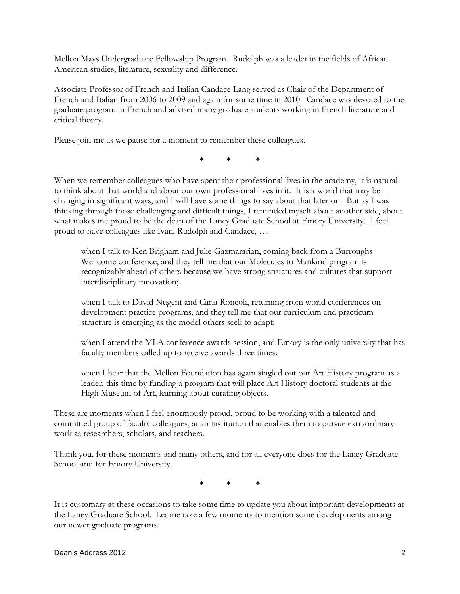Mellon Mays Undergraduate Fellowship Program. Rudolph was a leader in the fields of African American studies, literature, sexuality and difference.

Associate Professor of French and Italian Candace Lang served as Chair of the Department of French and Italian from 2006 to 2009 and again for some time in 2010. Candace was devoted to the graduate program in French and advised many graduate students working in French literature and critical theory.

Please join me as we pause for a moment to remember these colleagues.

**\* \* \*** 

When we remember colleagues who have spent their professional lives in the academy, it is natural to think about that world and about our own professional lives in it. It is a world that may be changing in significant ways, and I will have some things to say about that later on. But as I was thinking through those challenging and difficult things, I reminded myself about another side, about what makes me proud to be the dean of the Laney Graduate School at Emory University. I feel proud to have colleagues like Ivan, Rudolph and Candace, …

when I talk to Ken Brigham and Julie Gazmararian, coming back from a Burroughs-Wellcome conference, and they tell me that our Molecules to Mankind program is recognizably ahead of others because we have strong structures and cultures that support interdisciplinary innovation;

when I talk to David Nugent and Carla Roncoli, returning from world conferences on development practice programs, and they tell me that our curriculum and practicum structure is emerging as the model others seek to adapt;

when I attend the MLA conference awards session, and Emory is the only university that has faculty members called up to receive awards three times;

when I hear that the Mellon Foundation has again singled out our Art History program as a leader, this time by funding a program that will place Art History doctoral students at the High Museum of Art, learning about curating objects.

These are moments when I feel enormously proud, proud to be working with a talented and committed group of faculty colleagues, at an institution that enables them to pursue extraordinary work as researchers, scholars, and teachers.

Thank you, for these moments and many others, and for all everyone does for the Laney Graduate School and for Emory University.

**\* \* \*** 

It is customary at these occasions to take some time to update you about important developments at the Laney Graduate School. Let me take a few moments to mention some developments among our newer graduate programs.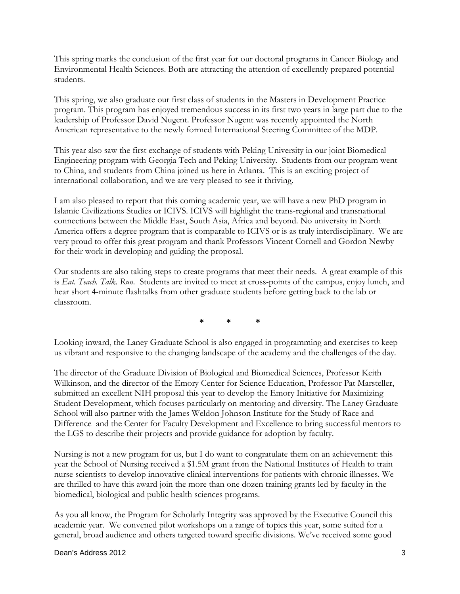This spring marks the conclusion of the first year for our doctoral programs in Cancer Biology and Environmental Health Sciences. Both are attracting the attention of excellently prepared potential students.

This spring, we also graduate our first class of students in the Masters in Development Practice program. This program has enjoyed tremendous success in its first two years in large part due to the leadership of Professor David Nugent. Professor Nugent was recently appointed the North American representative to the newly formed International Steering Committee of the MDP.

This year also saw the first exchange of students with Peking University in our joint Biomedical Engineering program with Georgia Tech and Peking University. Students from our program went to China, and students from China joined us here in Atlanta. This is an exciting project of international collaboration, and we are very pleased to see it thriving.

I am also pleased to report that this coming academic year, we will have a new PhD program in Islamic Civilizations Studies or ICIVS. ICIVS will highlight the trans-regional and transnational connections between the Middle East, South Asia, Africa and beyond. No university in North America offers a degree program that is comparable to ICIVS or is as truly interdisciplinary. We are very proud to offer this great program and thank Professors Vincent Cornell and Gordon Newby for their work in developing and guiding the proposal.

Our students are also taking steps to create programs that meet their needs. A great example of this is *Eat. Teach. Talk. Run*. Students are invited to meet at cross-points of the campus, enjoy lunch, and hear short 4-minute flashtalks from other graduate students before getting back to the lab or classroom.

**\* \* \*** 

Looking inward, the Laney Graduate School is also engaged in programming and exercises to keep us vibrant and responsive to the changing landscape of the academy and the challenges of the day.

The director of the Graduate Division of Biological and Biomedical Sciences, Professor Keith Wilkinson, and the director of the Emory Center for Science Education, Professor Pat Marsteller, submitted an excellent NIH proposal this year to develop the Emory Initiative for Maximizing Student Development, which focuses particularly on mentoring and diversity. The Laney Graduate School will also partner with the James Weldon Johnson Institute for the Study of Race and Difference and the Center for Faculty Development and Excellence to bring successful mentors to the LGS to describe their projects and provide guidance for adoption by faculty.

Nursing is not a new program for us, but I do want to congratulate them on an achievement: this year the School of Nursing received a \$1.5M grant from the National Institutes of Health to train nurse scientists to develop innovative clinical interventions for patients with chronic illnesses. We are thrilled to have this award join the more than one dozen training grants led by faculty in the biomedical, biological and public health sciences programs.

As you all know, the Program for Scholarly Integrity was approved by the Executive Council this academic year. We convened pilot workshops on a range of topics this year, some suited for a general, broad audience and others targeted toward specific divisions. We've received some good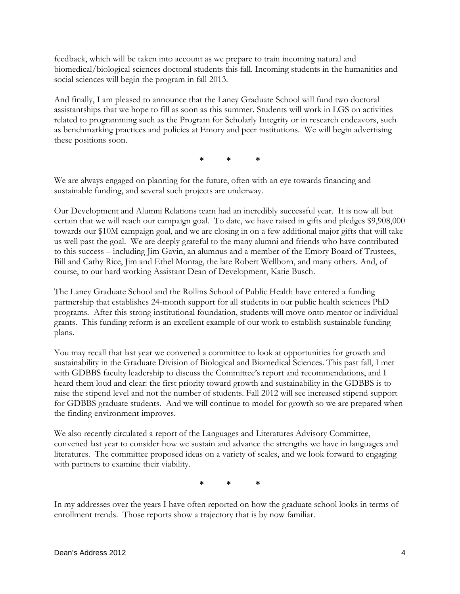feedback, which will be taken into account as we prepare to train incoming natural and biomedical/biological sciences doctoral students this fall. Incoming students in the humanities and social sciences will begin the program in fall 2013.

And finally, I am pleased to announce that the Laney Graduate School will fund two doctoral assistantships that we hope to fill as soon as this summer. Students will work in LGS on activities related to programming such as the Program for Scholarly Integrity or in research endeavors, such as benchmarking practices and policies at Emory and peer institutions. We will begin advertising these positions soon.

**\* \* \*** 

We are always engaged on planning for the future, often with an eye towards financing and sustainable funding, and several such projects are underway.

Our Development and Alumni Relations team had an incredibly successful year. It is now all but certain that we will reach our campaign goal. To date, we have raised in gifts and pledges \$9,908,000 towards our \$10M campaign goal, and we are closing in on a few additional major gifts that will take us well past the goal. We are deeply grateful to the many alumni and friends who have contributed to this success – including Jim Gavin, an alumnus and a member of the Emory Board of Trustees, Bill and Cathy Rice, Jim and Ethel Montag, the late Robert Wellborn, and many others. And, of course, to our hard working Assistant Dean of Development, Katie Busch.

The Laney Graduate School and the Rollins School of Public Health have entered a funding partnership that establishes 24-month support for all students in our public health sciences PhD programs. After this strong institutional foundation, students will move onto mentor or individual grants. This funding reform is an excellent example of our work to establish sustainable funding plans.

You may recall that last year we convened a committee to look at opportunities for growth and sustainability in the Graduate Division of Biological and Biomedical Sciences. This past fall, I met with GDBBS faculty leadership to discuss the Committee's report and recommendations, and I heard them loud and clear: the first priority toward growth and sustainability in the GDBBS is to raise the stipend level and not the number of students. Fall 2012 will see increased stipend support for GDBBS graduate students. And we will continue to model for growth so we are prepared when the finding environment improves.

We also recently circulated a report of the Languages and Literatures Advisory Committee, convened last year to consider how we sustain and advance the strengths we have in languages and literatures. The committee proposed ideas on a variety of scales, and we look forward to engaging with partners to examine their viability.

**\* \* \*** 

In my addresses over the years I have often reported on how the graduate school looks in terms of enrollment trends. Those reports show a trajectory that is by now familiar.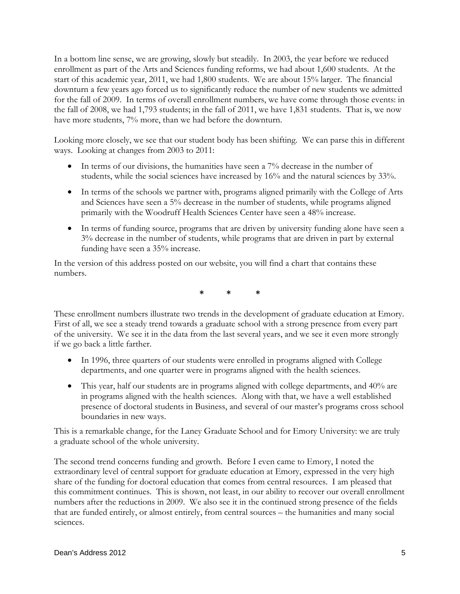In a bottom line sense, we are growing, slowly but steadily. In 2003, the year before we reduced enrollment as part of the Arts and Sciences funding reforms, we had about 1,600 students. At the start of this academic year, 2011, we had 1,800 students. We are about 15% larger. The financial downturn a few years ago forced us to significantly reduce the number of new students we admitted for the fall of 2009. In terms of overall enrollment numbers, we have come through those events: in the fall of 2008, we had 1,793 students; in the fall of 2011, we have 1,831 students. That is, we now have more students, 7% more, than we had before the downturn.

Looking more closely, we see that our student body has been shifting. We can parse this in different ways. Looking at changes from 2003 to 2011:

- In terms of our divisions, the humanities have seen a 7% decrease in the number of students, while the social sciences have increased by 16% and the natural sciences by 33%.
- In terms of the schools we partner with, programs aligned primarily with the College of Arts and Sciences have seen a 5% decrease in the number of students, while programs aligned primarily with the Woodruff Health Sciences Center have seen a 48% increase.
- In terms of funding source, programs that are driven by university funding alone have seen a 3% decrease in the number of students, while programs that are driven in part by external funding have seen a 35% increase.

In the version of this address posted on our website, you will find a chart that contains these numbers.

**\* \* \*** 

These enrollment numbers illustrate two trends in the development of graduate education at Emory. First of all, we see a steady trend towards a graduate school with a strong presence from every part of the university. We see it in the data from the last several years, and we see it even more strongly if we go back a little farther.

- In 1996, three quarters of our students were enrolled in programs aligned with College departments, and one quarter were in programs aligned with the health sciences.
- This year, half our students are in programs aligned with college departments, and 40% are in programs aligned with the health sciences. Along with that, we have a well established presence of doctoral students in Business, and several of our master's programs cross school boundaries in new ways.

This is a remarkable change, for the Laney Graduate School and for Emory University: we are truly a graduate school of the whole university.

The second trend concerns funding and growth. Before I even came to Emory, I noted the extraordinary level of central support for graduate education at Emory, expressed in the very high share of the funding for doctoral education that comes from central resources. I am pleased that this commitment continues. This is shown, not least, in our ability to recover our overall enrollment numbers after the reductions in 2009. We also see it in the continued strong presence of the fields that are funded entirely, or almost entirely, from central sources – the humanities and many social sciences.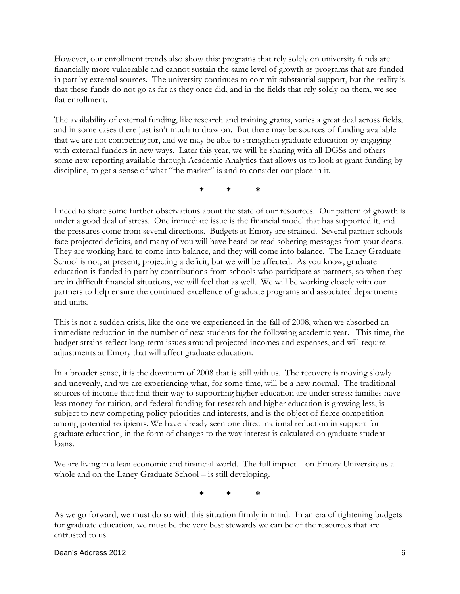However, our enrollment trends also show this: programs that rely solely on university funds are financially more vulnerable and cannot sustain the same level of growth as programs that are funded in part by external sources. The university continues to commit substantial support, but the reality is that these funds do not go as far as they once did, and in the fields that rely solely on them, we see flat enrollment.

The availability of external funding, like research and training grants, varies a great deal across fields, and in some cases there just isn't much to draw on. But there may be sources of funding available that we are not competing for, and we may be able to strengthen graduate education by engaging with external funders in new ways. Later this year, we will be sharing with all DGSs and others some new reporting available through Academic Analytics that allows us to look at grant funding by discipline, to get a sense of what "the market" is and to consider our place in it.

**\* \* \*** 

I need to share some further observations about the state of our resources. Our pattern of growth is under a good deal of stress. One immediate issue is the financial model that has supported it, and the pressures come from several directions. Budgets at Emory are strained. Several partner schools face projected deficits, and many of you will have heard or read sobering messages from your deans. They are working hard to come into balance, and they will come into balance. The Laney Graduate School is not, at present, projecting a deficit, but we will be affected. As you know, graduate education is funded in part by contributions from schools who participate as partners, so when they are in difficult financial situations, we will feel that as well. We will be working closely with our partners to help ensure the continued excellence of graduate programs and associated departments and units.

This is not a sudden crisis, like the one we experienced in the fall of 2008, when we absorbed an immediate reduction in the number of new students for the following academic year. This time, the budget strains reflect long-term issues around projected incomes and expenses, and will require adjustments at Emory that will affect graduate education.

In a broader sense, it is the downturn of 2008 that is still with us. The recovery is moving slowly and unevenly, and we are experiencing what, for some time, will be a new normal. The traditional sources of income that find their way to supporting higher education are under stress: families have less money for tuition, and federal funding for research and higher education is growing less, is subject to new competing policy priorities and interests, and is the object of fierce competition among potential recipients. We have already seen one direct national reduction in support for graduate education, in the form of changes to the way interest is calculated on graduate student loans.

We are living in a lean economic and financial world. The full impact – on Emory University as a whole and on the Laney Graduate School – is still developing.

**\* \* \*** 

As we go forward, we must do so with this situation firmly in mind. In an era of tightening budgets for graduate education, we must be the very best stewards we can be of the resources that are entrusted to us.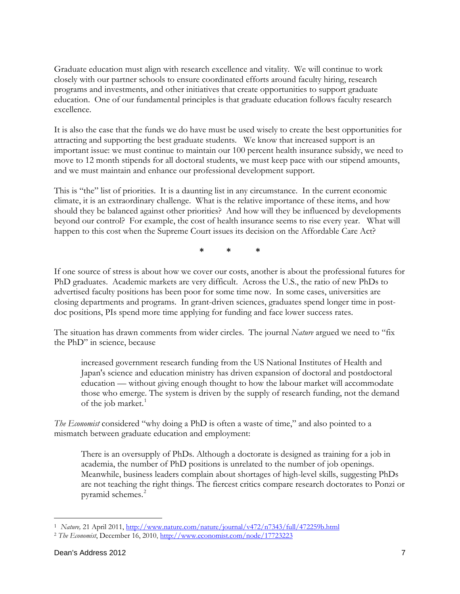Graduate education must align with research excellence and vitality. We will continue to work closely with our partner schools to ensure coordinated efforts around faculty hiring, research programs and investments, and other initiatives that create opportunities to support graduate education. One of our fundamental principles is that graduate education follows faculty research excellence.

It is also the case that the funds we do have must be used wisely to create the best opportunities for attracting and supporting the best graduate students. We know that increased support is an important issue: we must continue to maintain our 100 percent health insurance subsidy, we need to move to 12 month stipends for all doctoral students, we must keep pace with our stipend amounts, and we must maintain and enhance our professional development support.

This is "the" list of priorities. It is a daunting list in any circumstance. In the current economic climate, it is an extraordinary challenge. What is the relative importance of these items, and how should they be balanced against other priorities? And how will they be influenced by developments beyond our control? For example, the cost of health insurance seems to rise every year. What will happen to this cost when the Supreme Court issues its decision on the Affordable Care Act?

**\* \* \*** 

If one source of stress is about how we cover our costs, another is about the professional futures for PhD graduates. Academic markets are very difficult. Across the U.S., the ratio of new PhDs to advertised faculty positions has been poor for some time now. In some cases, universities are closing departments and programs. In grant-driven sciences, graduates spend longer time in postdoc positions, PIs spend more time applying for funding and face lower success rates.

The situation has drawn comments from wider circles. The journal *Nature* argued we need to "fix the PhD" in science, because

increased government research funding from the US National Institutes of Health and Japan's science and education ministry has driven expansion of doctoral and postdoctoral education — without giving enough thought to how the labour market will accommodate those who emerge. The system is driven by the supply of research funding, not the demand of the job market. $1$ 

*The Economist* considered "why doing a PhD is often a waste of time," and also pointed to a mismatch between graduate education and employment:

There is an oversupply of PhDs. Although a doctorate is designed as training for a job in academia, the number of PhD positions is unrelated to the number of job openings. Meanwhile, business leaders complain about shortages of high-level skills, suggesting PhDs are not teaching the right things. The fiercest critics compare research doctorates to Ponzi or pyramid schemes.<sup>[2](#page-6-1)</sup>

<span id="page-6-0"></span><sup>1</sup> *Nature,* 21 April 2011, <http://www.nature.com/nature/journal/v472/n7343/full/472259b.html>

<span id="page-6-1"></span><sup>2</sup> *The Economist*, December 16, 2010,<http://www.economist.com/node/17723223>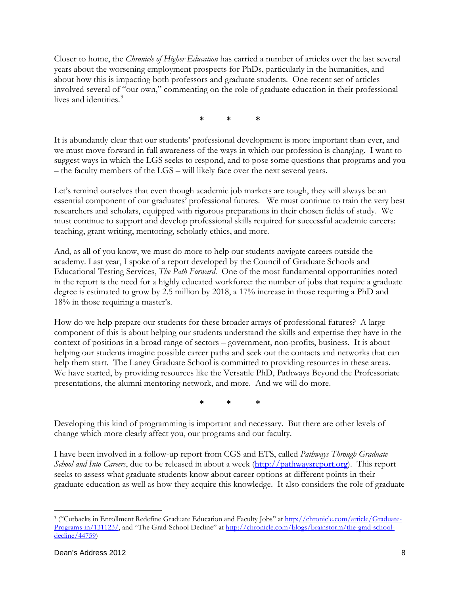Closer to home, the *Chronicle of Higher Education* has carried a number of articles over the last several years about the worsening employment prospects for PhDs, particularly in the humanities, and about how this is impacting both professors and graduate students. One recent set of articles involved several of "our own," commenting on the role of graduate education in their professional lives and identities.<sup>[3](#page-7-0)</sup>

**\* \* \*** 

It is abundantly clear that our students' professional development is more important than ever, and we must move forward in full awareness of the ways in which our profession is changing. I want to suggest ways in which the LGS seeks to respond, and to pose some questions that programs and you – the faculty members of the LGS – will likely face over the next several years.

Let's remind ourselves that even though academic job markets are tough, they will always be an essential component of our graduates' professional futures. We must continue to train the very best researchers and scholars, equipped with rigorous preparations in their chosen fields of study. We must continue to support and develop professional skills required for successful academic careers: teaching, grant writing, mentoring, scholarly ethics, and more.

And, as all of you know, we must do more to help our students navigate careers outside the academy. Last year, I spoke of a report developed by the Council of Graduate Schools and Educational Testing Services, *The Path Forward*. One of the most fundamental opportunities noted in the report is the need for a highly educated workforce: the number of jobs that require a graduate degree is estimated to grow by 2.5 million by 2018, a 17% increase in those requiring a PhD and 18% in those requiring a master's.

How do we help prepare our students for these broader arrays of professional futures? A large component of this is about helping our students understand the skills and expertise they have in the context of positions in a broad range of sectors – government, non-profits, business. It is about helping our students imagine possible career paths and seek out the contacts and networks that can help them start. The Laney Graduate School is committed to providing resources in these areas. We have started, by providing resources like the Versatile PhD, Pathways Beyond the Professoriate presentations, the alumni mentoring network, and more. And we will do more.

**\* \* \*** 

Developing this kind of programming is important and necessary. But there are other levels of change which more clearly affect you, our programs and our faculty.

I have been involved in a follow-up report from CGS and ETS, called *Pathways Through Graduate School and Into Careers*, due to be released in about a week [\(http://pathwaysreport.org\)](http://pathwaysreport.org/). This report seeks to assess what graduate students know about career options at different points in their graduate education as well as how they acquire this knowledge. It also considers the role of graduate

<span id="page-7-0"></span><sup>&</sup>lt;sup>3</sup> ("Cutbacks in Enrollment Redefine Graduate Education and Faculty Jobs" at [http://chronicle.com/article/Graduate-](http://chronicle.com/article/Graduate-Programs-in/131123/)[Programs-in/131123/,](http://chronicle.com/article/Graduate-Programs-in/131123/) and "The Grad-School Decline" at [http://chronicle.com/blogs/brainstorm/the-grad-school](http://chronicle.com/blogs/brainstorm/the-grad-school-decline/44759)[decline/44759\)](http://chronicle.com/blogs/brainstorm/the-grad-school-decline/44759)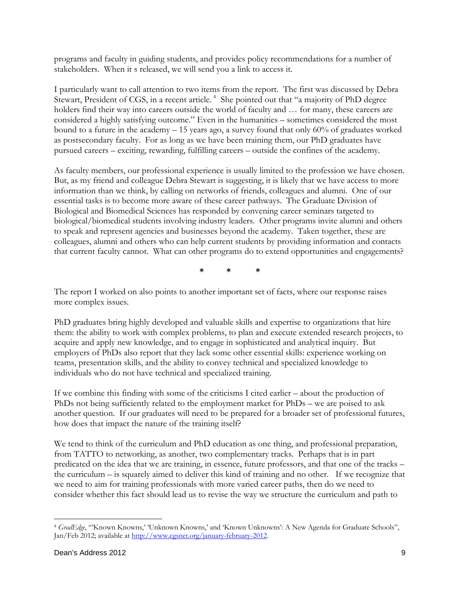programs and faculty in guiding students, and provides policy recommendations for a number of stakeholders. When it s released, we will send you a link to access it.

I particularly want to call attention to two items from the report. The first was discussed by Debra Stewart, President of CGS, in a recent article.<sup>[4](#page-8-0)</sup> She pointed out that "a majority of PhD degree holders find their way into careers outside the world of faculty and ... for many, these careers are considered a highly satisfying outcome." Even in the humanities – sometimes considered the most bound to a future in the academy  $-15$  years ago, a survey found that only 60% of graduates worked as postsecondary faculty. For as long as we have been training them, our PhD graduates have pursued careers – exciting, rewarding, fulfilling careers – outside the confines of the academy.

As faculty members, our professional experience is usually limited to the profession we have chosen. But, as my friend and colleague Debra Stewart is suggesting, it is likely that we have access to more information than we think, by calling on networks of friends, colleagues and alumni. One of our essential tasks is to become more aware of these career pathways. The Graduate Division of Biological and Biomedical Sciences has responded by convening career seminars targeted to biological/biomedical students involving industry leaders. Other programs invite alumni and others to speak and represent agencies and businesses beyond the academy. Taken together, these are colleagues, alumni and others who can help current students by providing information and contacts that current faculty cannot. What can other programs do to extend opportunities and engagements?

**\* \* \*** 

The report I worked on also points to another important set of facts, where our response raises more complex issues.

PhD graduates bring highly developed and valuable skills and expertise to organizations that hire them: the ability to work with complex problems, to plan and execute extended research projects, to acquire and apply new knowledge, and to engage in sophisticated and analytical inquiry. But employers of PhDs also report that they lack some other essential skills: experience working on teams, presentation skills, and the ability to convey technical and specialized knowledge to individuals who do not have technical and specialized training.

If we combine this finding with some of the criticisms I cited earlier – about the production of PhDs not being sufficiently related to the employment market for PhDs – we are poised to ask another question. If our graduates will need to be prepared for a broader set of professional futures, how does that impact the nature of the training itself?

We tend to think of the curriculum and PhD education as one thing, and professional preparation, from TATTO to networking, as another, two complementary tracks. Perhaps that is in part predicated on the idea that we are training, in essence, future professors, and that one of the tracks – the curriculum – is squarely aimed to deliver this kind of training and no other. If we recognize that we need to aim for training professionals with more varied career paths, then do we need to consider whether this fact should lead us to revise the way we structure the curriculum and path to

<span id="page-8-0"></span><sup>4</sup> *GradEdge*, "'Known Knowns,' 'Unknown Knowns,' and 'Known Unknowns': A New Agenda for Graduate Schools", Jan/Feb 2012; available at [http://www.cgsnet.org/january-february-2012.](http://www.cgsnet.org/january-february-2012)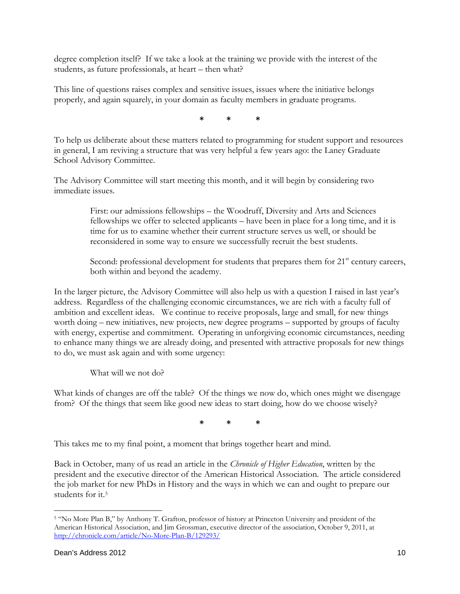degree completion itself? If we take a look at the training we provide with the interest of the students, as future professionals, at heart – then what?

This line of questions raises complex and sensitive issues, issues where the initiative belongs properly, and again squarely, in your domain as faculty members in graduate programs.

**\* \* \*** 

To help us deliberate about these matters related to programming for student support and resources in general, I am reviving a structure that was very helpful a few years ago: the Laney Graduate School Advisory Committee.

The Advisory Committee will start meeting this month, and it will begin by considering two immediate issues.

> First: our admissions fellowships – the Woodruff, Diversity and Arts and Sciences fellowships we offer to selected applicants – have been in place for a long time, and it is time for us to examine whether their current structure serves us well, or should be reconsidered in some way to ensure we successfully recruit the best students.

Second: professional development for students that prepares them for  $21<sup>st</sup>$  century careers, both within and beyond the academy.

In the larger picture, the Advisory Committee will also help us with a question I raised in last year's address. Regardless of the challenging economic circumstances, we are rich with a faculty full of ambition and excellent ideas. We continue to receive proposals, large and small, for new things worth doing – new initiatives, new projects, new degree programs – supported by groups of faculty with energy, expertise and commitment. Operating in unforgiving economic circumstances, needing to enhance many things we are already doing, and presented with attractive proposals for new things to do, we must ask again and with some urgency:

What will we not do?

What kinds of changes are off the table? Of the things we now do, which ones might we disengage from? Of the things that seem like good new ideas to start doing, how do we choose wisely?

**\* \* \*** 

This takes me to my final point, a moment that brings together heart and mind.

Back in October, many of us read an article in the *Chronicle of Higher Education*, written by the president and the executive director of the American Historical Association. The article considered the job market for new PhDs in History and the ways in which we can and ought to prepare our students for it.[5](#page-9-0)

<span id="page-9-0"></span> 5 "No More Plan B," by Anthony T. Grafton, professor of history at Princeton University and president of the American Historical Association, and Jim Grossman, executive director of the association, October 9, 2011, at <http://chronicle.com/article/No-More-Plan-B/129293/>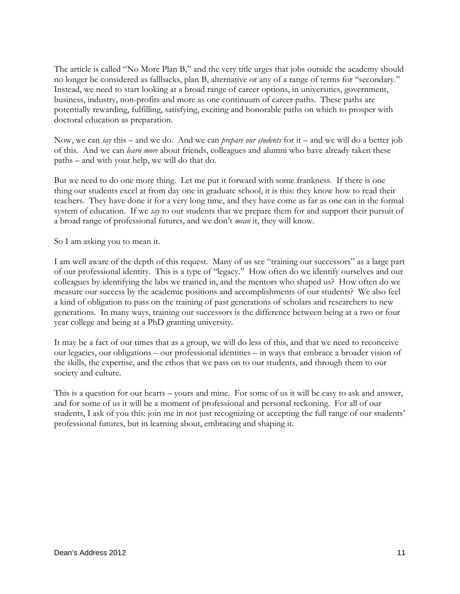The article is called "No More Plan B," and the very title urges that jobs outside the academy should no longer be considered as fallbacks, plan B, alternative or any of a range of terms for "secondary." Instead, we need to start looking at a broad range of career options, in universities, government, business, industry, non-profits and more as one continuum of career paths. These paths are potentially rewarding, fulfilling, satisfying, exciting and honorable paths on which to prosper with doctoral education as preparation.

Now, we can *say* this – and we do. And we can *prepare our students* for it – and we will do a better job of this. And we can *learn more* about friends, colleagues and alumni who have already taken these paths – and with your help, we will do that do.

But we need to do one more thing. Let me put it forward with some frankness. If there is one thing our students excel at from day one in graduate school, it is this: they know how to read their teachers. They have done it for a very long time, and they have come as far as one can in the formal system of education. If we *say* to our students that we prepare them for and support their pursuit of a broad range of professional futures, and we don't *mean* it, they will know.

So I am asking you to mean it.

I am well aware of the depth of this request. Many of us see "training our successors" as a large part of our professional identity. This is a type of "legacy." How often do we identify ourselves and our colleagues by identifying the labs we trained in, and the mentors who shaped us? How often do we measure our success by the academic positions and accomplishments of our students? We also feel a kind of obligation to pass on the training of past generations of scholars and researchers to new generations. In many ways, training our successors is the difference between being at a two or four year college and being at a PhD granting university.

It may be a fact of our times that as a group, we will do less of this, and that we need to reconceive our legacies, our obligations – our professional identities – in ways that embrace a broader vision of the skills, the expertise, and the ethos that we pass on to our students, and through them to our society and culture.

This is a question for our hearts – yours and mine. For some of us it will be easy to ask and answer, and for some of us it will be a moment of professional and personal reckoning. For all of our students, I ask of you this: join me in not just recognizing or accepting the full range of our students' professional futures, but in learning about, embracing and shaping it.